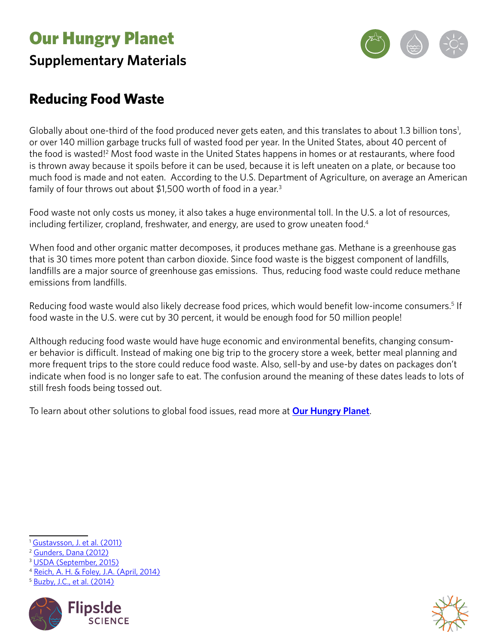# Our Hungry Planet **Supplementary Materials**



## **Reducing Food Waste**

Globally about one-third of the food produced never gets eaten, and this translates to about 1.3 billion tons<sup>1</sup>, or over 140 million garbage trucks full of wasted food per year. In the United States, about 40 percent of the food is wasted!<sup>2</sup> Most food waste in the United States happens in homes or at restaurants, where food is thrown away because it spoils before it can be used, because it is left uneaten on a plate, or because too much food is made and not eaten. According to the U.S. Department of Agriculture, on average an American family of four throws out about \$1,500 worth of food in a year.<sup>3</sup>

Food waste not only costs us money, it also takes a huge environmental toll. In the U.S. a lot of resources, including fertilizer, cropland, freshwater, and energy, are used to grow uneaten food.<sup>4</sup>

When food and other organic matter decomposes, it produces methane gas. Methane is a greenhouse gas that is 30 times more potent than carbon dioxide. Since food waste is the biggest component of landfills, landfills are a major source of greenhouse gas emissions. Thus, reducing food waste could reduce methane emissions from landfills.

Reducing food waste would also likely decrease food prices, which would benefit low-income consumers.<sup>5</sup> If food waste in the U.S. were cut by 30 percent, it would be enough food for 50 million people!

Although reducing food waste would have huge economic and environmental benefits, changing consumer behavior is difficult. Instead of making one big trip to the grocery store a week, better meal planning and more frequent trips to the store could reduce food waste. Also, sell-by and use-by dates on packages don't indicate when food is no longer safe to eat. The confusion around the meaning of these dates leads to lots of still fresh foods being tossed out.

To learn about other solutions to global food issues, read more at **[Our Hungry Planet](https://www.calacademy.org/educators/our-hungry-planet)**.

<sup>5</sup> [Buzby, J.C., et al. \(2014\)](http://www.ers.usda.gov/publications/eib-economic-information-bulletin/eib121.aspx)





<sup>&</sup>lt;sup>1</sup> [Gustavsson, J. et al. \(2011\)](http://www.fao.org/docrep/014/mb060e/mb060e00.htm)

<sup>2</sup> [Gunders, Dana \(2012\)](https://www.nrdc.org/food/files/wasted-food-ip.pdf)

<sup>3</sup> [USDA \(September, 2015\)](http://www.usda.gov/wps/portal/usda/usdamediafb?contentid=2015/09/0257.xml&printable=true&contentidonly=true)

<sup>4</sup> [Reich, A. H. & Foley, J.A. \(April, 2014\)](https://www.foodpolicy.umn.edu/policy-summaries-and-analyses/food-loss-and-waste-us-science-behind-supply-chain)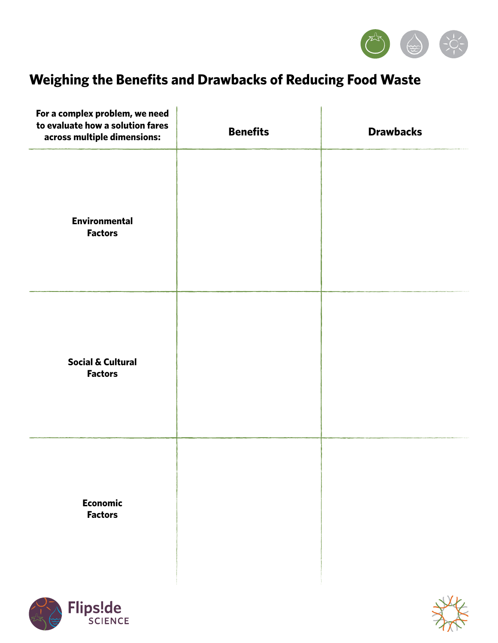

## **Weighing the Benefits and Drawbacks of Reducing Food Waste**

| For a complex problem, we need<br>to evaluate how a solution fares<br>across multiple dimensions: | <b>Benefits</b> | <b>Drawbacks</b> |
|---------------------------------------------------------------------------------------------------|-----------------|------------------|
| <b>Environmental</b><br><b>Factors</b>                                                            |                 |                  |
| <b>Social &amp; Cultural</b><br><b>Factors</b>                                                    |                 |                  |
| <b>Economic</b><br><b>Factors</b>                                                                 |                 |                  |